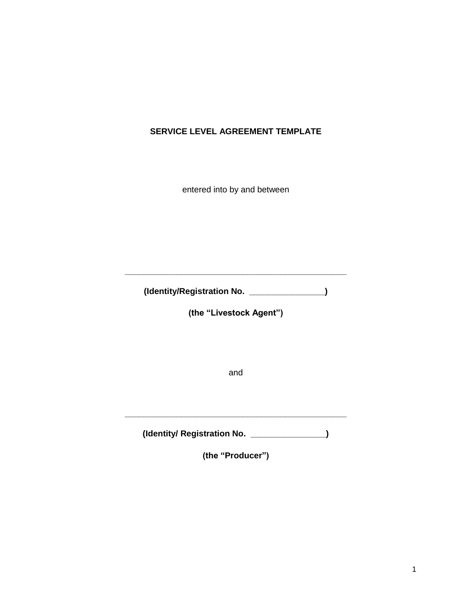## **SERVICE LEVEL AGREEMENT TEMPLATE**

entered into by and between

**(Identity/Registration No. \_\_\_\_\_\_\_\_\_\_\_\_\_\_\_\_)** 

**\_\_\_\_\_\_\_\_\_\_\_\_\_\_\_\_\_\_\_\_\_\_\_\_\_\_\_\_\_\_\_\_\_\_\_\_\_\_\_\_\_\_\_\_\_\_\_** 

**(the "Livestock Agent")**

and

**(Identity/ Registration No. \_\_\_\_\_\_\_\_\_\_\_\_\_\_\_\_)** 

**\_\_\_\_\_\_\_\_\_\_\_\_\_\_\_\_\_\_\_\_\_\_\_\_\_\_\_\_\_\_\_\_\_\_\_\_\_\_\_\_\_\_\_\_\_\_\_** 

**(the "Producer")**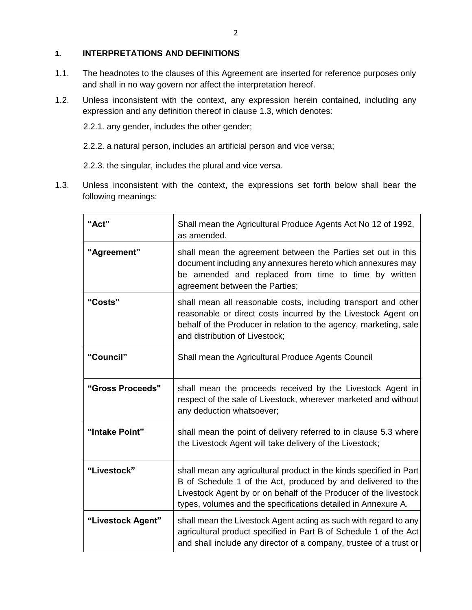## **1. INTERPRETATIONS AND DEFINITIONS**

- 1.1. The headnotes to the clauses of this Agreement are inserted for reference purposes only and shall in no way govern nor affect the interpretation hereof.
- 1.2. Unless inconsistent with the context, any expression herein contained, including any expression and any definition thereof in clause 1.3, which denotes:

2.2.1. any gender, includes the other gender;

2.2.2. a natural person, includes an artificial person and vice versa;

2.2.3. the singular, includes the plural and vice versa.

1.3. Unless inconsistent with the context, the expressions set forth below shall bear the following meanings:

| "Act"             | Shall mean the Agricultural Produce Agents Act No 12 of 1992,<br>as amended.                                                                                                                                                                                            |
|-------------------|-------------------------------------------------------------------------------------------------------------------------------------------------------------------------------------------------------------------------------------------------------------------------|
| "Agreement"       | shall mean the agreement between the Parties set out in this<br>document including any annexures hereto which annexures may<br>be amended and replaced from time to time by written<br>agreement between the Parties;                                                   |
| "Costs"           | shall mean all reasonable costs, including transport and other<br>reasonable or direct costs incurred by the Livestock Agent on<br>behalf of the Producer in relation to the agency, marketing, sale<br>and distribution of Livestock;                                  |
| "Council"         | Shall mean the Agricultural Produce Agents Council                                                                                                                                                                                                                      |
| "Gross Proceeds"  | shall mean the proceeds received by the Livestock Agent in<br>respect of the sale of Livestock, wherever marketed and without<br>any deduction whatsoever;                                                                                                              |
| "Intake Point"    | shall mean the point of delivery referred to in clause 5.3 where<br>the Livestock Agent will take delivery of the Livestock;                                                                                                                                            |
| "Livestock"       | shall mean any agricultural product in the kinds specified in Part<br>B of Schedule 1 of the Act, produced by and delivered to the<br>Livestock Agent by or on behalf of the Producer of the livestock<br>types, volumes and the specifications detailed in Annexure A. |
| "Livestock Agent" | shall mean the Livestock Agent acting as such with regard to any<br>agricultural product specified in Part B of Schedule 1 of the Act<br>and shall include any director of a company, trustee of a trust or                                                             |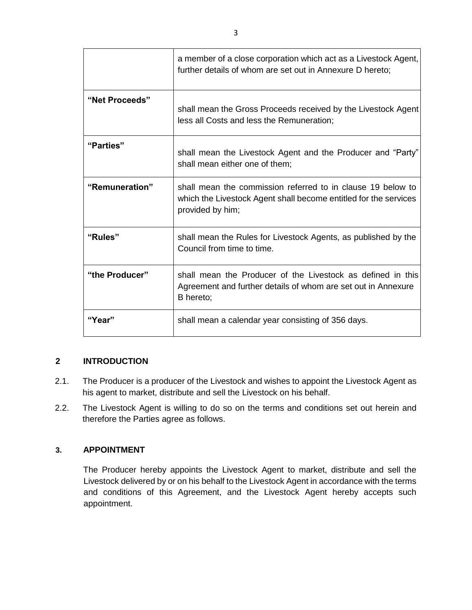|                | a member of a close corporation which act as a Livestock Agent,<br>further details of whom are set out in Annexure D hereto;                        |
|----------------|-----------------------------------------------------------------------------------------------------------------------------------------------------|
| "Net Proceeds" | shall mean the Gross Proceeds received by the Livestock Agent<br>less all Costs and less the Remuneration;                                          |
| "Parties"      | shall mean the Livestock Agent and the Producer and "Party"<br>shall mean either one of them;                                                       |
| "Remuneration" | shall mean the commission referred to in clause 19 below to<br>which the Livestock Agent shall become entitled for the services<br>provided by him; |
| "Rules"        | shall mean the Rules for Livestock Agents, as published by the<br>Council from time to time.                                                        |
| "the Producer" | shall mean the Producer of the Livestock as defined in this<br>Agreement and further details of whom are set out in Annexure<br>B hereto;           |
| "Year"         | shall mean a calendar year consisting of 356 days.                                                                                                  |

## **2 INTRODUCTION**

- 2.1. The Producer is a producer of the Livestock and wishes to appoint the Livestock Agent as his agent to market, distribute and sell the Livestock on his behalf.
- 2.2. The Livestock Agent is willing to do so on the terms and conditions set out herein and therefore the Parties agree as follows.

### **3. APPOINTMENT**

The Producer hereby appoints the Livestock Agent to market, distribute and sell the Livestock delivered by or on his behalf to the Livestock Agent in accordance with the terms and conditions of this Agreement, and the Livestock Agent hereby accepts such appointment.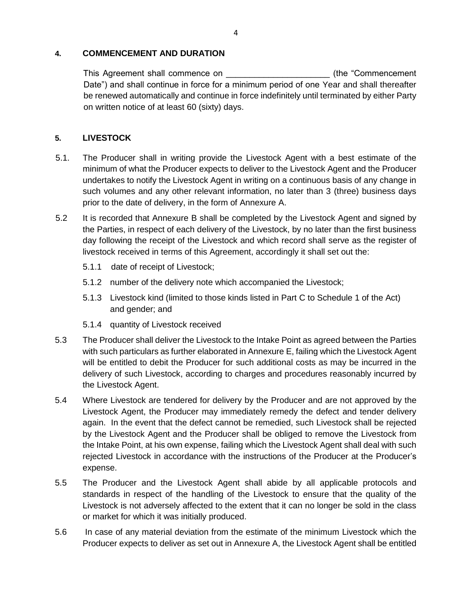#### **4. COMMENCEMENT AND DURATION**

This Agreement shall commence on \_\_\_\_\_\_\_\_\_\_\_\_\_\_\_\_\_\_\_\_\_\_ (the "Commencement Date") and shall continue in force for a minimum period of one Year and shall thereafter be renewed automatically and continue in force indefinitely until terminated by either Party on written notice of at least 60 (sixty) days.

## **5. LIVESTOCK**

- 5.1. The Producer shall in writing provide the Livestock Agent with a best estimate of the minimum of what the Producer expects to deliver to the Livestock Agent and the Producer undertakes to notify the Livestock Agent in writing on a continuous basis of any change in such volumes and any other relevant information, no later than 3 (three) business days prior to the date of delivery, in the form of Annexure A.
- 5.2 It is recorded that Annexure B shall be completed by the Livestock Agent and signed by the Parties, in respect of each delivery of the Livestock, by no later than the first business day following the receipt of the Livestock and which record shall serve as the register of livestock received in terms of this Agreement, accordingly it shall set out the:
	- 5.1.1 date of receipt of Livestock;
	- 5.1.2 number of the delivery note which accompanied the Livestock;
	- 5.1.3 Livestock kind (limited to those kinds listed in Part C to Schedule 1 of the Act) and gender; and
	- 5.1.4 quantity of Livestock received
- 5.3 The Producer shall deliver the Livestock to the Intake Point as agreed between the Parties with such particulars as further elaborated in Annexure E, failing which the Livestock Agent will be entitled to debit the Producer for such additional costs as may be incurred in the delivery of such Livestock, according to charges and procedures reasonably incurred by the Livestock Agent.
- 5.4 Where Livestock are tendered for delivery by the Producer and are not approved by the Livestock Agent, the Producer may immediately remedy the defect and tender delivery again. In the event that the defect cannot be remedied, such Livestock shall be rejected by the Livestock Agent and the Producer shall be obliged to remove the Livestock from the Intake Point, at his own expense, failing which the Livestock Agent shall deal with such rejected Livestock in accordance with the instructions of the Producer at the Producer's expense.
- 5.5 The Producer and the Livestock Agent shall abide by all applicable protocols and standards in respect of the handling of the Livestock to ensure that the quality of the Livestock is not adversely affected to the extent that it can no longer be sold in the class or market for which it was initially produced.
- 5.6 In case of any material deviation from the estimate of the minimum Livestock which the Producer expects to deliver as set out in Annexure A, the Livestock Agent shall be entitled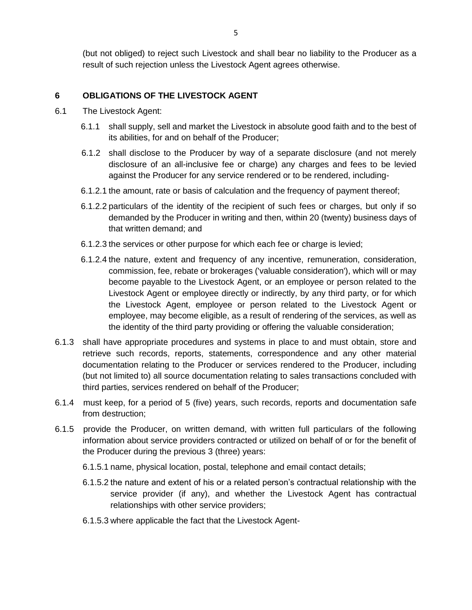(but not obliged) to reject such Livestock and shall bear no liability to the Producer as a result of such rejection unless the Livestock Agent agrees otherwise.

### **6 OBLIGATIONS OF THE LIVESTOCK AGENT**

- 6.1 The Livestock Agent:
	- 6.1.1 shall supply, sell and market the Livestock in absolute good faith and to the best of its abilities, for and on behalf of the Producer;
	- 6.1.2 shall disclose to the Producer by way of a separate disclosure (and not merely disclosure of an all-inclusive fee or charge) any charges and fees to be levied against the Producer for any service rendered or to be rendered, including-
	- 6.1.2.1 the amount, rate or basis of calculation and the frequency of payment thereof;
	- 6.1.2.2 particulars of the identity of the recipient of such fees or charges, but only if so demanded by the Producer in writing and then, within 20 (twenty) business days of that written demand; and
	- 6.1.2.3 the services or other purpose for which each fee or charge is levied;
	- 6.1.2.4 the nature, extent and frequency of any incentive, remuneration, consideration, commission, fee, rebate or brokerages ('valuable consideration'), which will or may become payable to the Livestock Agent, or an employee or person related to the Livestock Agent or employee directly or indirectly, by any third party, or for which the Livestock Agent, employee or person related to the Livestock Agent or employee, may become eligible, as a result of rendering of the services, as well as the identity of the third party providing or offering the valuable consideration;
- 6.1.3 shall have appropriate procedures and systems in place to and must obtain, store and retrieve such records, reports, statements, correspondence and any other material documentation relating to the Producer or services rendered to the Producer, including (but not limited to) all source documentation relating to sales transactions concluded with third parties, services rendered on behalf of the Producer;
- 6.1.4 must keep, for a period of 5 (five) years, such records, reports and documentation safe from destruction;
- 6.1.5 provide the Producer, on written demand, with written full particulars of the following information about service providers contracted or utilized on behalf of or for the benefit of the Producer during the previous 3 (three) years:
	- 6.1.5.1 name, physical location, postal, telephone and email contact details;
	- 6.1.5.2 the nature and extent of his or a related person's contractual relationship with the service provider (if any), and whether the Livestock Agent has contractual relationships with other service providers;
	- 6.1.5.3 where applicable the fact that the Livestock Agent-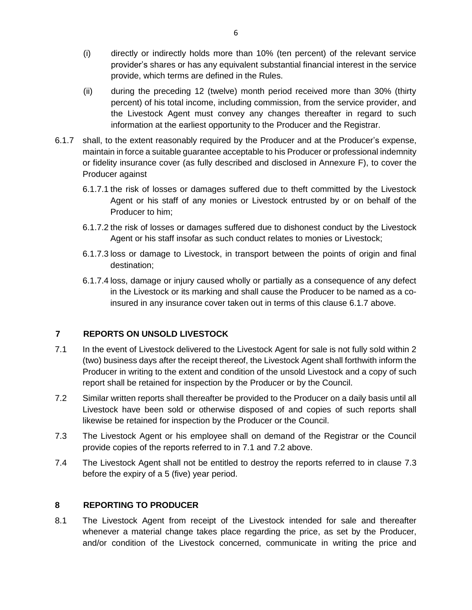- (i) directly or indirectly holds more than 10% (ten percent) of the relevant service provider's shares or has any equivalent substantial financial interest in the service provide, which terms are defined in the Rules.
- (ii) during the preceding 12 (twelve) month period received more than 30% (thirty percent) of his total income, including commission, from the service provider, and the Livestock Agent must convey any changes thereafter in regard to such information at the earliest opportunity to the Producer and the Registrar.
- 6.1.7 shall, to the extent reasonably required by the Producer and at the Producer's expense, maintain in force a suitable guarantee acceptable to his Producer or professional indemnity or fidelity insurance cover (as fully described and disclosed in Annexure F), to cover the Producer against
	- 6.1.7.1 the risk of losses or damages suffered due to theft committed by the Livestock Agent or his staff of any monies or Livestock entrusted by or on behalf of the Producer to him;
	- 6.1.7.2 the risk of losses or damages suffered due to dishonest conduct by the Livestock Agent or his staff insofar as such conduct relates to monies or Livestock;
	- 6.1.7.3 loss or damage to Livestock, in transport between the points of origin and final destination;
	- 6.1.7.4 loss, damage or injury caused wholly or partially as a consequence of any defect in the Livestock or its marking and shall cause the Producer to be named as a coinsured in any insurance cover taken out in terms of this clause 6.1.7 above.

## **7 REPORTS ON UNSOLD LIVESTOCK**

- 7.1 In the event of Livestock delivered to the Livestock Agent for sale is not fully sold within 2 (two) business days after the receipt thereof, the Livestock Agent shall forthwith inform the Producer in writing to the extent and condition of the unsold Livestock and a copy of such report shall be retained for inspection by the Producer or by the Council.
- 7.2 Similar written reports shall thereafter be provided to the Producer on a daily basis until all Livestock have been sold or otherwise disposed of and copies of such reports shall likewise be retained for inspection by the Producer or the Council.
- 7.3 The Livestock Agent or his employee shall on demand of the Registrar or the Council provide copies of the reports referred to in 7.1 and 7.2 above.
- 7.4 The Livestock Agent shall not be entitled to destroy the reports referred to in clause 7.3 before the expiry of a 5 (five) year period.

### **8 REPORTING TO PRODUCER**

8.1 The Livestock Agent from receipt of the Livestock intended for sale and thereafter whenever a material change takes place regarding the price, as set by the Producer, and/or condition of the Livestock concerned, communicate in writing the price and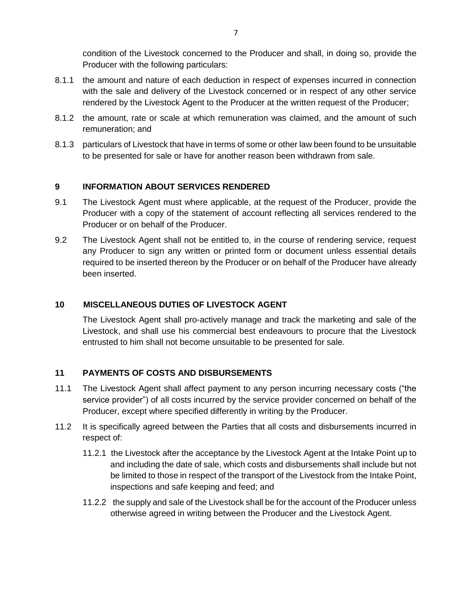condition of the Livestock concerned to the Producer and shall, in doing so, provide the Producer with the following particulars:

- 8.1.1 the amount and nature of each deduction in respect of expenses incurred in connection with the sale and delivery of the Livestock concerned or in respect of any other service rendered by the Livestock Agent to the Producer at the written request of the Producer;
- 8.1.2 the amount, rate or scale at which remuneration was claimed, and the amount of such remuneration; and
- 8.1.3 particulars of Livestock that have in terms of some or other law been found to be unsuitable to be presented for sale or have for another reason been withdrawn from sale.

## **9 INFORMATION ABOUT SERVICES RENDERED**

- 9.1 The Livestock Agent must where applicable, at the request of the Producer, provide the Producer with a copy of the statement of account reflecting all services rendered to the Producer or on behalf of the Producer.
- 9.2 The Livestock Agent shall not be entitled to, in the course of rendering service, request any Producer to sign any written or printed form or document unless essential details required to be inserted thereon by the Producer or on behalf of the Producer have already been inserted.

### **10 MISCELLANEOUS DUTIES OF LIVESTOCK AGENT**

The Livestock Agent shall pro-actively manage and track the marketing and sale of the Livestock, and shall use his commercial best endeavours to procure that the Livestock entrusted to him shall not become unsuitable to be presented for sale.

## **11 PAYMENTS OF COSTS AND DISBURSEMENTS**

- 11.1 The Livestock Agent shall affect payment to any person incurring necessary costs ("the service provider") of all costs incurred by the service provider concerned on behalf of the Producer, except where specified differently in writing by the Producer.
- 11.2 It is specifically agreed between the Parties that all costs and disbursements incurred in respect of:
	- 11.2.1 the Livestock after the acceptance by the Livestock Agent at the Intake Point up to and including the date of sale, which costs and disbursements shall include but not be limited to those in respect of the transport of the Livestock from the Intake Point, inspections and safe keeping and feed; and
	- 11.2.2 the supply and sale of the Livestock shall be for the account of the Producer unless otherwise agreed in writing between the Producer and the Livestock Agent.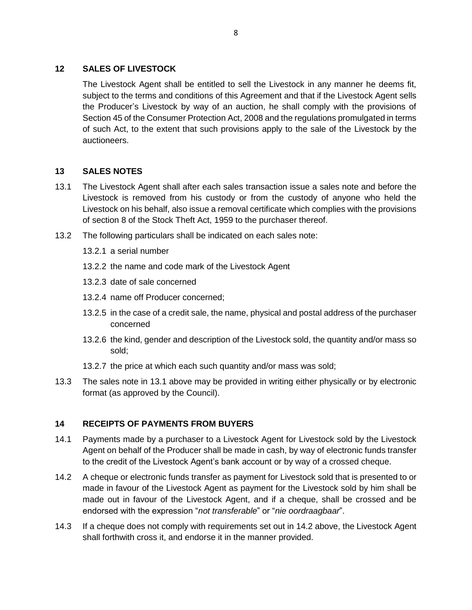## **12 SALES OF LIVESTOCK**

The Livestock Agent shall be entitled to sell the Livestock in any manner he deems fit, subject to the terms and conditions of this Agreement and that if the Livestock Agent sells the Producer's Livestock by way of an auction, he shall comply with the provisions of Section 45 of the Consumer Protection Act, 2008 and the regulations promulgated in terms of such Act, to the extent that such provisions apply to the sale of the Livestock by the auctioneers.

## **13 SALES NOTES**

- 13.1 The Livestock Agent shall after each sales transaction issue a sales note and before the Livestock is removed from his custody or from the custody of anyone who held the Livestock on his behalf, also issue a removal certificate which complies with the provisions of section 8 of the Stock Theft Act, 1959 to the purchaser thereof.
- 13.2 The following particulars shall be indicated on each sales note:
	- 13.2.1 a serial number
	- 13.2.2 the name and code mark of the Livestock Agent
	- 13.2.3 date of sale concerned
	- 13.2.4 name off Producer concerned;
	- 13.2.5 in the case of a credit sale, the name, physical and postal address of the purchaser concerned
	- 13.2.6 the kind, gender and description of the Livestock sold, the quantity and/or mass so sold;
	- 13.2.7 the price at which each such quantity and/or mass was sold;
- 13.3 The sales note in 13.1 above may be provided in writing either physically or by electronic format (as approved by the Council).

# **14 RECEIPTS OF PAYMENTS FROM BUYERS**

- 14.1 Payments made by a purchaser to a Livestock Agent for Livestock sold by the Livestock Agent on behalf of the Producer shall be made in cash, by way of electronic funds transfer to the credit of the Livestock Agent's bank account or by way of a crossed cheque.
- 14.2 A cheque or electronic funds transfer as payment for Livestock sold that is presented to or made in favour of the Livestock Agent as payment for the Livestock sold by him shall be made out in favour of the Livestock Agent, and if a cheque, shall be crossed and be endorsed with the expression "*not transferable*" or "*nie oordraagbaar*".
- 14.3 If a cheque does not comply with requirements set out in 14.2 above, the Livestock Agent shall forthwith cross it, and endorse it in the manner provided.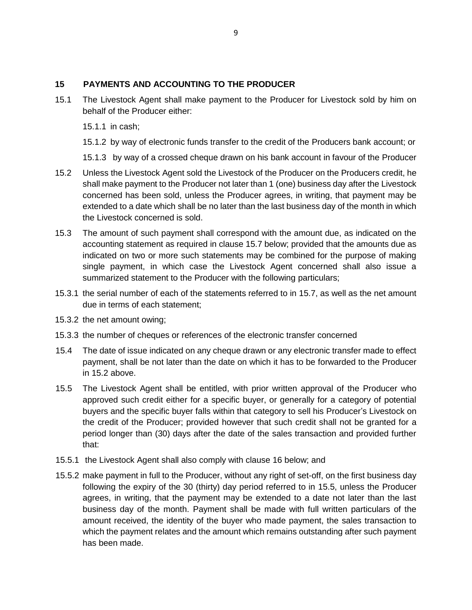### **15 PAYMENTS AND ACCOUNTING TO THE PRODUCER**

- 15.1 The Livestock Agent shall make payment to the Producer for Livestock sold by him on behalf of the Producer either:
	- 15.1.1 in cash;
	- 15.1.2 by way of electronic funds transfer to the credit of the Producers bank account; or
	- 15.1.3 by way of a crossed cheque drawn on his bank account in favour of the Producer
- 15.2 Unless the Livestock Agent sold the Livestock of the Producer on the Producers credit, he shall make payment to the Producer not later than 1 (one) business day after the Livestock concerned has been sold, unless the Producer agrees, in writing, that payment may be extended to a date which shall be no later than the last business day of the month in which the Livestock concerned is sold.
- 15.3 The amount of such payment shall correspond with the amount due, as indicated on the accounting statement as required in clause 15.7 below; provided that the amounts due as indicated on two or more such statements may be combined for the purpose of making single payment, in which case the Livestock Agent concerned shall also issue a summarized statement to the Producer with the following particulars;
- 15.3.1 the serial number of each of the statements referred to in 15.7, as well as the net amount due in terms of each statement;
- 15.3.2 the net amount owing;
- 15.3.3 the number of cheques or references of the electronic transfer concerned
- 15.4 The date of issue indicated on any cheque drawn or any electronic transfer made to effect payment, shall be not later than the date on which it has to be forwarded to the Producer in 15.2 above.
- 15.5 The Livestock Agent shall be entitled, with prior written approval of the Producer who approved such credit either for a specific buyer, or generally for a category of potential buyers and the specific buyer falls within that category to sell his Producer's Livestock on the credit of the Producer; provided however that such credit shall not be granted for a period longer than (30) days after the date of the sales transaction and provided further that:
- 15.5.1 the Livestock Agent shall also comply with clause 16 below; and
- 15.5.2 make payment in full to the Producer, without any right of set-off, on the first business day following the expiry of the 30 (thirty) day period referred to in 15.5, unless the Producer agrees, in writing, that the payment may be extended to a date not later than the last business day of the month. Payment shall be made with full written particulars of the amount received, the identity of the buyer who made payment, the sales transaction to which the payment relates and the amount which remains outstanding after such payment has been made.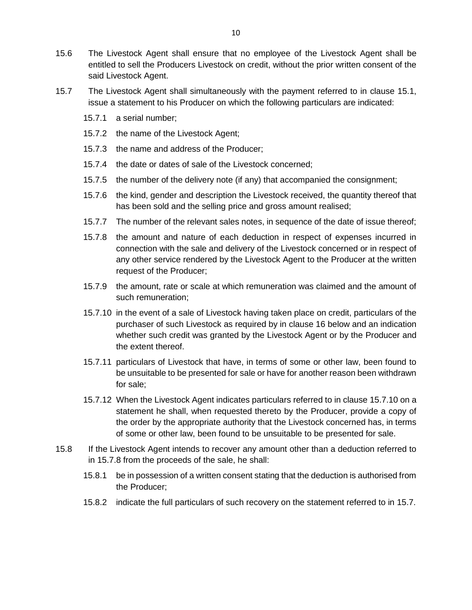- 15.6 The Livestock Agent shall ensure that no employee of the Livestock Agent shall be entitled to sell the Producers Livestock on credit, without the prior written consent of the said Livestock Agent.
- 15.7 The Livestock Agent shall simultaneously with the payment referred to in clause 15.1, issue a statement to his Producer on which the following particulars are indicated:
	- 15.7.1 a serial number;
	- 15.7.2 the name of the Livestock Agent;
	- 15.7.3 the name and address of the Producer;
	- 15.7.4 the date or dates of sale of the Livestock concerned;
	- 15.7.5 the number of the delivery note (if any) that accompanied the consignment;
	- 15.7.6 the kind, gender and description the Livestock received, the quantity thereof that has been sold and the selling price and gross amount realised;
	- 15.7.7 The number of the relevant sales notes, in sequence of the date of issue thereof;
	- 15.7.8 the amount and nature of each deduction in respect of expenses incurred in connection with the sale and delivery of the Livestock concerned or in respect of any other service rendered by the Livestock Agent to the Producer at the written request of the Producer;
	- 15.7.9 the amount, rate or scale at which remuneration was claimed and the amount of such remuneration;
	- 15.7.10 in the event of a sale of Livestock having taken place on credit, particulars of the purchaser of such Livestock as required by in clause 16 below and an indication whether such credit was granted by the Livestock Agent or by the Producer and the extent thereof.
	- 15.7.11 particulars of Livestock that have, in terms of some or other law, been found to be unsuitable to be presented for sale or have for another reason been withdrawn for sale;
	- 15.7.12 When the Livestock Agent indicates particulars referred to in clause 15.7.10 on a statement he shall, when requested thereto by the Producer, provide a copy of the order by the appropriate authority that the Livestock concerned has, in terms of some or other law, been found to be unsuitable to be presented for sale.
- 15.8 If the Livestock Agent intends to recover any amount other than a deduction referred to in 15.7.8 from the proceeds of the sale, he shall:
	- 15.8.1 be in possession of a written consent stating that the deduction is authorised from the Producer;
	- 15.8.2 indicate the full particulars of such recovery on the statement referred to in 15.7.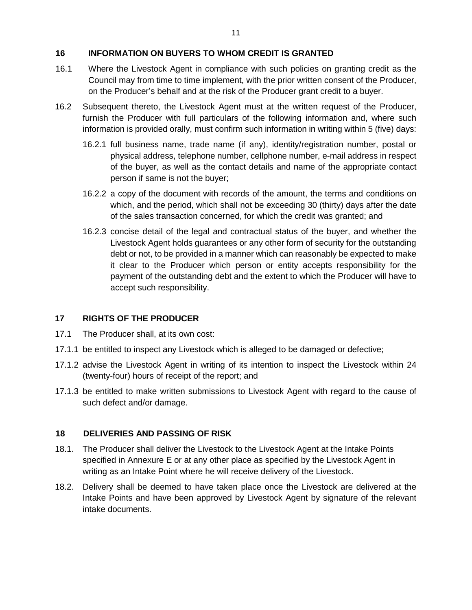### **16 INFORMATION ON BUYERS TO WHOM CREDIT IS GRANTED**

- 16.1 Where the Livestock Agent in compliance with such policies on granting credit as the Council may from time to time implement, with the prior written consent of the Producer, on the Producer's behalf and at the risk of the Producer grant credit to a buyer.
- 16.2 Subsequent thereto, the Livestock Agent must at the written request of the Producer, furnish the Producer with full particulars of the following information and, where such information is provided orally, must confirm such information in writing within 5 (five) days:
	- 16.2.1 full business name, trade name (if any), identity/registration number, postal or physical address, telephone number, cellphone number, e-mail address in respect of the buyer, as well as the contact details and name of the appropriate contact person if same is not the buyer;
	- 16.2.2 a copy of the document with records of the amount, the terms and conditions on which, and the period, which shall not be exceeding 30 (thirty) days after the date of the sales transaction concerned, for which the credit was granted; and
	- 16.2.3 concise detail of the legal and contractual status of the buyer, and whether the Livestock Agent holds guarantees or any other form of security for the outstanding debt or not, to be provided in a manner which can reasonably be expected to make it clear to the Producer which person or entity accepts responsibility for the payment of the outstanding debt and the extent to which the Producer will have to accept such responsibility.

### **17 RIGHTS OF THE PRODUCER**

- 17.1 The Producer shall, at its own cost:
- 17.1.1 be entitled to inspect any Livestock which is alleged to be damaged or defective;
- 17.1.2 advise the Livestock Agent in writing of its intention to inspect the Livestock within 24 (twenty-four) hours of receipt of the report; and
- 17.1.3 be entitled to make written submissions to Livestock Agent with regard to the cause of such defect and/or damage.

### **18 DELIVERIES AND PASSING OF RISK**

- 18.1. The Producer shall deliver the Livestock to the Livestock Agent at the Intake Points specified in Annexure E or at any other place as specified by the Livestock Agent in writing as an Intake Point where he will receive delivery of the Livestock.
- 18.2. Delivery shall be deemed to have taken place once the Livestock are delivered at the Intake Points and have been approved by Livestock Agent by signature of the relevant intake documents.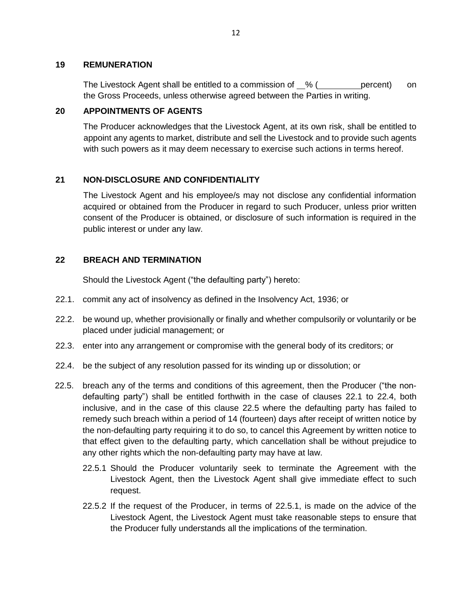#### **19 REMUNERATION**

The Livestock Agent shall be entitled to a commission of  $\%$  ( percent) on the Gross Proceeds, unless otherwise agreed between the Parties in writing.

#### **20 APPOINTMENTS OF AGENTS**

The Producer acknowledges that the Livestock Agent, at its own risk, shall be entitled to appoint any agents to market, distribute and sell the Livestock and to provide such agents with such powers as it may deem necessary to exercise such actions in terms hereof.

## **21 NON-DISCLOSURE AND CONFIDENTIALITY**

The Livestock Agent and his employee/s may not disclose any confidential information acquired or obtained from the Producer in regard to such Producer, unless prior written consent of the Producer is obtained, or disclosure of such information is required in the public interest or under any law.

## **22 BREACH AND TERMINATION**

Should the Livestock Agent ("the defaulting party") hereto:

- 22.1. commit any act of insolvency as defined in the Insolvency Act, 1936; or
- 22.2. be wound up, whether provisionally or finally and whether compulsorily or voluntarily or be placed under judicial management; or
- 22.3. enter into any arrangement or compromise with the general body of its creditors; or
- 22.4. be the subject of any resolution passed for its winding up or dissolution; or
- 22.5. breach any of the terms and conditions of this agreement, then the Producer ("the nondefaulting party") shall be entitled forthwith in the case of clauses 22.1 to 22.4, both inclusive, and in the case of this clause 22.5 where the defaulting party has failed to remedy such breach within a period of 14 (fourteen) days after receipt of written notice by the non-defaulting party requiring it to do so, to cancel this Agreement by written notice to that effect given to the defaulting party, which cancellation shall be without prejudice to any other rights which the non-defaulting party may have at law.
	- 22.5.1 Should the Producer voluntarily seek to terminate the Agreement with the Livestock Agent, then the Livestock Agent shall give immediate effect to such request.
	- 22.5.2 If the request of the Producer, in terms of 22.5.1, is made on the advice of the Livestock Agent, the Livestock Agent must take reasonable steps to ensure that the Producer fully understands all the implications of the termination.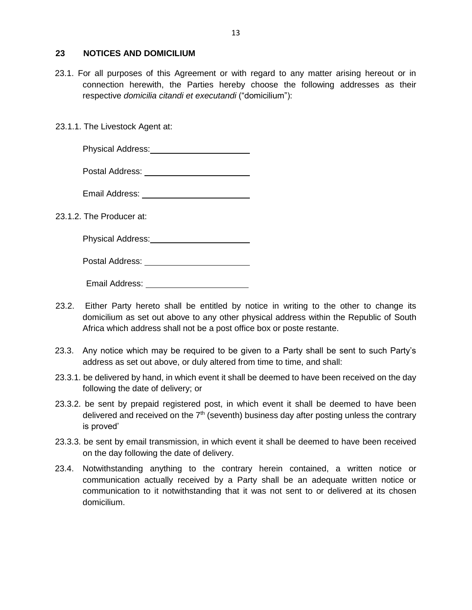#### **23 NOTICES AND DOMICILIUM**

- 23.1. For all purposes of this Agreement or with regard to any matter arising hereout or in connection herewith, the Parties hereby choose the following addresses as their respective *domicilia citandi et executandi* ("domicilium"):
- 23.1.1. The Livestock Agent at:

Physical Address:<br>
Fig. 2014

Postal Address:

23.1.2. The Producer at:

| <b>Physical Address:</b> |  |
|--------------------------|--|
|                          |  |

Postal Address:

Email Address:

- 23.2. Either Party hereto shall be entitled by notice in writing to the other to change its domicilium as set out above to any other physical address within the Republic of South Africa which address shall not be a post office box or poste restante.
- 23.3. Any notice which may be required to be given to a Party shall be sent to such Party's address as set out above, or duly altered from time to time, and shall:
- 23.3.1. be delivered by hand, in which event it shall be deemed to have been received on the day following the date of delivery; or
- 23.3.2. be sent by prepaid registered post, in which event it shall be deemed to have been delivered and received on the  $7<sup>th</sup>$  (seventh) business day after posting unless the contrary is proved'
- 23.3.3. be sent by email transmission, in which event it shall be deemed to have been received on the day following the date of delivery.
- 23.4. Notwithstanding anything to the contrary herein contained, a written notice or communication actually received by a Party shall be an adequate written notice or communication to it notwithstanding that it was not sent to or delivered at its chosen domicilium.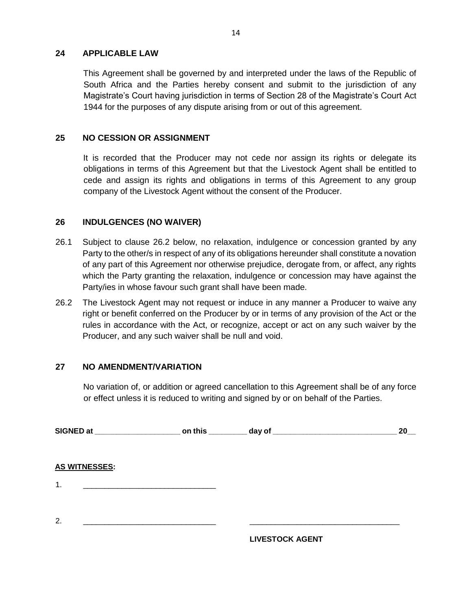#### **24 APPLICABLE LAW**

This Agreement shall be governed by and interpreted under the laws of the Republic of South Africa and the Parties hereby consent and submit to the jurisdiction of any Magistrate's Court having jurisdiction in terms of Section 28 of the Magistrate's Court Act 1944 for the purposes of any dispute arising from or out of this agreement.

### **25 NO CESSION OR ASSIGNMENT**

It is recorded that the Producer may not cede nor assign its rights or delegate its obligations in terms of this Agreement but that the Livestock Agent shall be entitled to cede and assign its rights and obligations in terms of this Agreement to any group company of the Livestock Agent without the consent of the Producer.

#### **26 INDULGENCES (NO WAIVER)**

- 26.1 Subject to clause 26.2 below, no relaxation, indulgence or concession granted by any Party to the other/s in respect of any of its obligations hereunder shall constitute a novation of any part of this Agreement nor otherwise prejudice, derogate from, or affect, any rights which the Party granting the relaxation, indulgence or concession may have against the Party/ies in whose favour such grant shall have been made.
- 26.2 The Livestock Agent may not request or induce in any manner a Producer to waive any right or benefit conferred on the Producer by or in terms of any provision of the Act or the rules in accordance with the Act, or recognize, accept or act on any such waiver by the Producer, and any such waiver shall be null and void.

### **27 NO AMENDMENT/VARIATION**

No variation of, or addition or agreed cancellation to this Agreement shall be of any force or effect unless it is reduced to writing and signed by or on behalf of the Parties.

|                      | SIGNED at _______________________ on this _________ day of _____________________ | 20 |
|----------------------|----------------------------------------------------------------------------------|----|
| <b>AS WITNESSES:</b> |                                                                                  |    |
| $\mathbf 1$ .        |                                                                                  |    |
| 2.                   |                                                                                  |    |

**LIVESTOCK AGENT**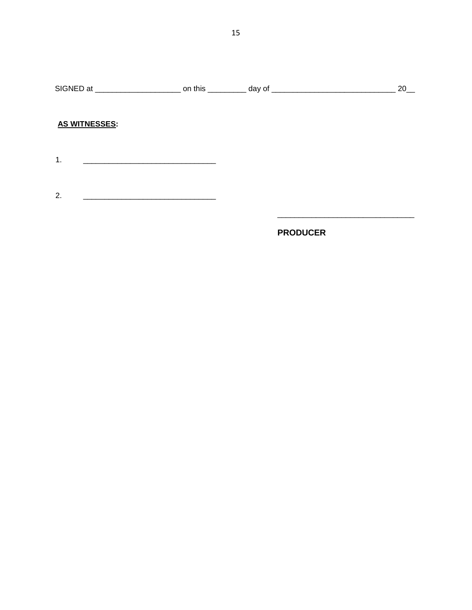## **AS WITNESSES:**

- 
- $2.$

## **PRODUCER**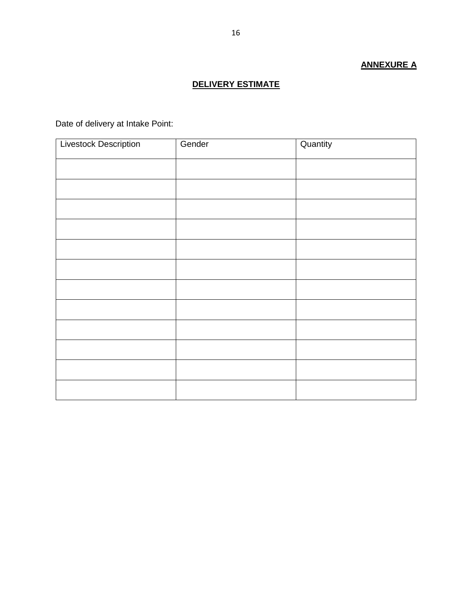# **ANNEXURE A**

## **DELIVERY ESTIMATE**

Date of delivery at Intake Point:

| <b>Livestock Description</b> | Gender | Quantity |
|------------------------------|--------|----------|
|                              |        |          |
|                              |        |          |
|                              |        |          |
|                              |        |          |
|                              |        |          |
|                              |        |          |
|                              |        |          |
|                              |        |          |
|                              |        |          |
|                              |        |          |
|                              |        |          |
|                              |        |          |
|                              |        |          |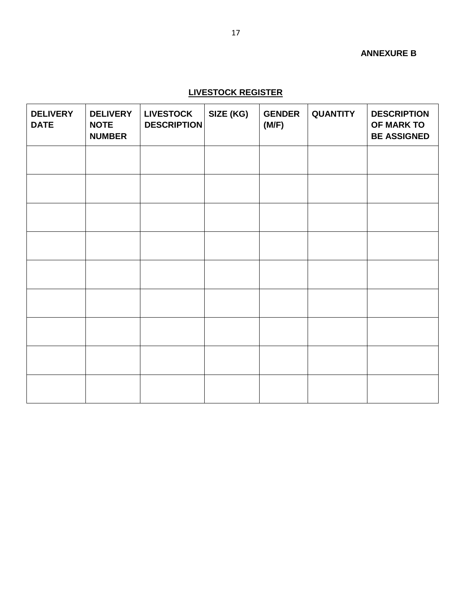## **ANNEXURE B**

## **LIVESTOCK REGISTER**

| <b>DELIVERY</b><br><b>DATE</b> | <b>DELIVERY</b><br><b>NOTE</b><br><b>NUMBER</b> | <b>LIVESTOCK</b><br><b>DESCRIPTION</b> | SIZE (KG) | <b>GENDER</b><br>(M/F) | <b>QUANTITY</b> | <b>DESCRIPTION</b><br>OF MARK TO<br><b>BE ASSIGNED</b> |
|--------------------------------|-------------------------------------------------|----------------------------------------|-----------|------------------------|-----------------|--------------------------------------------------------|
|                                |                                                 |                                        |           |                        |                 |                                                        |
|                                |                                                 |                                        |           |                        |                 |                                                        |
|                                |                                                 |                                        |           |                        |                 |                                                        |
|                                |                                                 |                                        |           |                        |                 |                                                        |
|                                |                                                 |                                        |           |                        |                 |                                                        |
|                                |                                                 |                                        |           |                        |                 |                                                        |
|                                |                                                 |                                        |           |                        |                 |                                                        |
|                                |                                                 |                                        |           |                        |                 |                                                        |
|                                |                                                 |                                        |           |                        |                 |                                                        |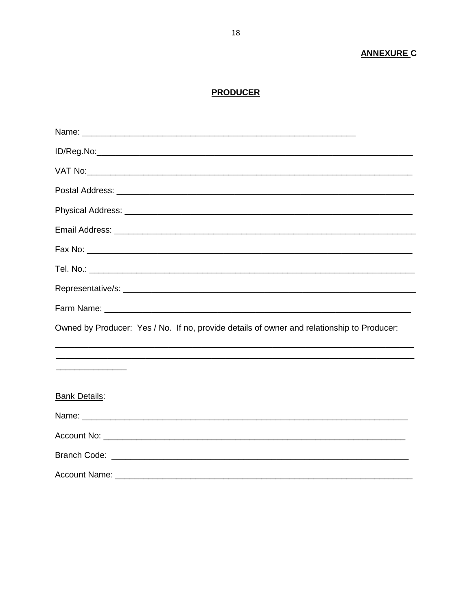## **ANNEXURE C**

## **PRODUCER**

| Owned by Producer: Yes / No. If no, provide details of owner and relationship to Producer: |
|--------------------------------------------------------------------------------------------|
|                                                                                            |
|                                                                                            |
| <b>Bank Details:</b>                                                                       |
|                                                                                            |
|                                                                                            |
|                                                                                            |
|                                                                                            |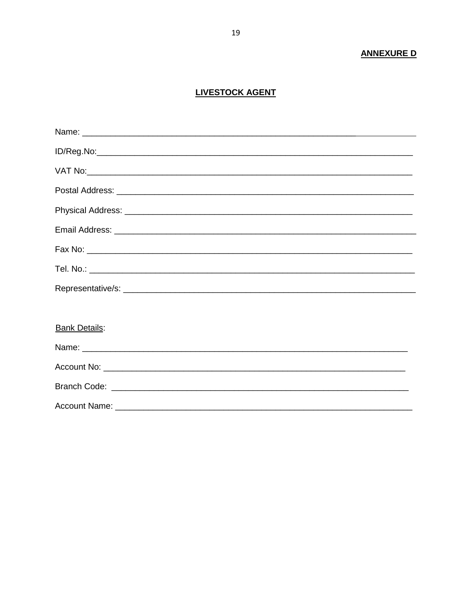## **ANNEXURE D**

## **LIVESTOCK AGENT**

| <b>Bank Details:</b> |
|----------------------|
|                      |
|                      |
|                      |
|                      |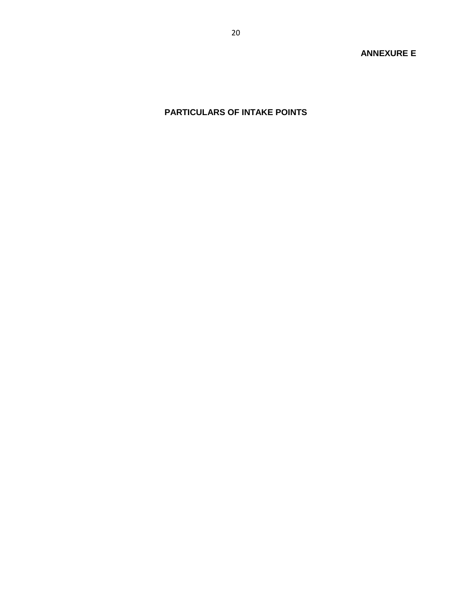# **PARTICULARS OF INTAKE POINTS**